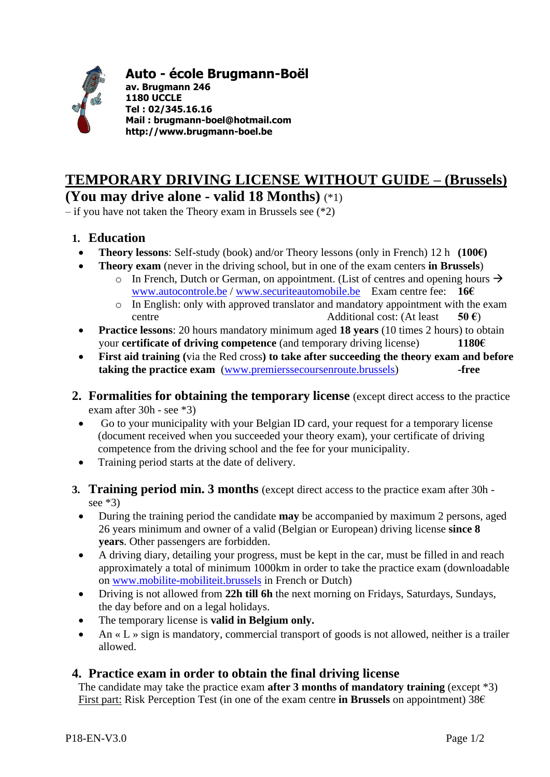

## **Auto - école Brugmann-Boël**

**av. Brugmann 246 1180 UCCLE Tel : 02/345.16.16 Mail : brugmann-boel@hotmail.com http://www.brugmann-boel.be**

## **TEMPORARY DRIVING LICENSE WITHOUT GUIDE – (Brussels) (You may drive alone - valid 18 Months)** (\*1)

– if you have not taken the Theory exam in Brussels see (\*2)

- **1. Education**
	- **Theory lessons:** Self-study (book) and/or Theory lessons (only in French) 12 h  $(100 \epsilon)$
	- **Theory exam** (never in the driving school, but in one of the exam centers **in Brussels**)
		- o In French, Dutch or German, on appointment. (List of centres and opening hours  $\rightarrow$ [www.autocontrole.be](http://www.autocontrole.be/) / [www.securiteautomobile.be](http://www.securiteautomobile.be/) Exam centre fee: **16€**
		- o In English: only with approved translator and mandatory appointment with the exam centre Additional cost: (At least **50 €**)
	- **Practice lessons**: 20 hours mandatory minimum aged **18 years** (10 times 2 hours) to obtain your **certificate of driving competence** (and temporary driving license) **1180€**
	- **First aid training (**via the Red cross**) to take after succeeding the theory exam and before taking the practice exam** [\(www.premierssecoursenroute.brussels\)](http://www.premierssecoursenroute.brussels/) **-free**
- **2. Formalities for obtaining the temporary license** (except direct access to the practice exam after 30h - see \*3)
	- Go to your municipality with your Belgian ID card, your request for a temporary license (document received when you succeeded your theory exam), your certificate of driving competence from the driving school and the fee for your municipality.
	- Training period starts at the date of delivery.
- **3. Training period min. 3 months** (except direct access to the practice exam after 30h see  $*3$ )
	- During the training period the candidate **may** be accompanied by maximum 2 persons, aged 26 years minimum and owner of a valid (Belgian or European) driving license **since 8 years**. Other passengers are forbidden.
	- A driving diary, detailing your progress, must be kept in the car, must be filled in and reach approximately a total of minimum 1000km in order to take the practice exam (downloadable on [www.mobilite-mobiliteit.brussels](http://www.mobilite-mobiliteit.brussels/) in French or Dutch)
	- Driving is not allowed from **22h till 6h** the next morning on Fridays, Saturdays, Sundays, the day before and on a legal holidays.
	- The temporary license is **valid in Belgium only.**
	- An «  $L \gg$  sign is mandatory, commercial transport of goods is not allowed, neither is a trailer allowed.

## **4. Practice exam in order to obtain the final driving license**

The candidate may take the practice exam **after 3 months of mandatory training** (except \*3) First part: Risk Perception Test (in one of the exam centre **in Brussels** on appointment) 38€